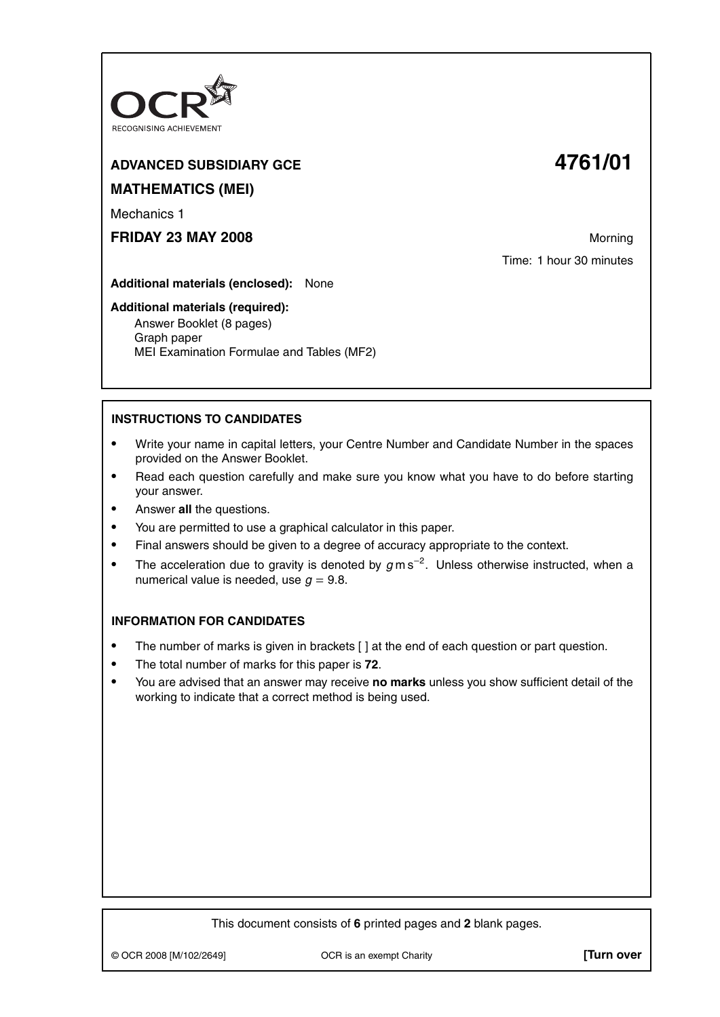

**ADVANCED SUBSIDIARY GCE 4761/01 MATHEMATICS (MEI)**

Mechanics 1

**FRIDAY 23 MAY 2008** Morning Structure 23 Morning Morning Morning Morning Morning Morning Morning Morning Morning Morning Morning Morning Morning Morning Morning Morning Morning Morning Morning Morning Morning Morning Morn

Time: 1 hour 30 minutes

**Additional materials (enclosed):** None

#### **Additional materials (required):**

Answer Booklet (8 pages) Graph paper MEI Examination Formulae and Tables (MF2)

## **INSTRUCTIONS TO CANDIDATES**

- **•** Write your name in capital letters, your Centre Number and Candidate Number in the spaces provided on the Answer Booklet.
- **•** Read each question carefully and make sure you know what you have to do before starting your answer.
- **•** Answer **all** the questions.
- **•** You are permitted to use a graphical calculator in this paper.
- **•** Final answers should be given to a degree of accuracy appropriate to the context.
- **•** The acceleration due to gravity is denoted by <sup>g</sup> m s−<sup>2</sup> . Unless otherwise instructed, when a numerical value is needed, use  $q = 9.8$ .

## **INFORMATION FOR CANDIDATES**

- The number of marks is given in brackets [] at the end of each question or part question.
- **•** The total number of marks for this paper is **72**.
- **•** You are advised that an answer may receive **no marks** unless you show sufficient detail of the working to indicate that a correct method is being used.

## This document consists of **6** printed pages and **2** blank pages.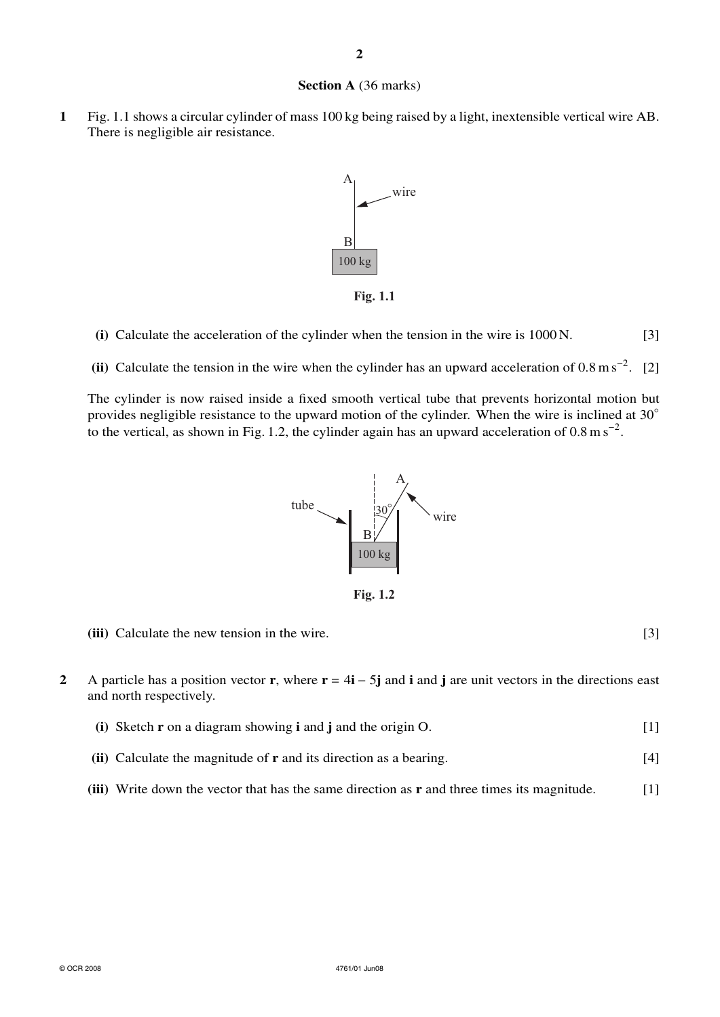#### **Section A** (36 marks)

**1** Fig. 1.1 shows a circular cylinder of mass 100 kg being raised by a light, inextensible vertical wire AB. There is negligible air resistance.



**Fig. 1.1**

- **(i)** Calculate the acceleration of the cylinder when the tension in the wire is 1000 N. [3]
- (ii) Calculate the tension in the wire when the cylinder has an upward acceleration of  $0.8 \text{ m s}^{-2}$ . [2]

The cylinder is now raised inside a fixed smooth vertical tube that prevents horizontal motion but provides negligible resistance to the upward motion of the cylinder. When the wire is inclined at 30° to the vertical, as shown in Fig. 1.2, the cylinder again has an upward acceleration of  $0.8 \text{ m s}^{-2}$ .



**Fig. 1.2**

- **(iii)** Calculate the new tension in the wire. [3]
- **2** A particle has a position vector **r**, where **r** = 4**i** − 5**j** and **i** and **j** are unit vectors in the directions east and north respectively.
	- **(i)** Sketch **r** on a diagram showing **i** and **j** and the origin O. [1]
	- **(ii)** Calculate the magnitude of **r** and its direction as a bearing. [4]
	- **(iii)** Write down the vector that has the same direction as **r** and three times its magnitude. [1]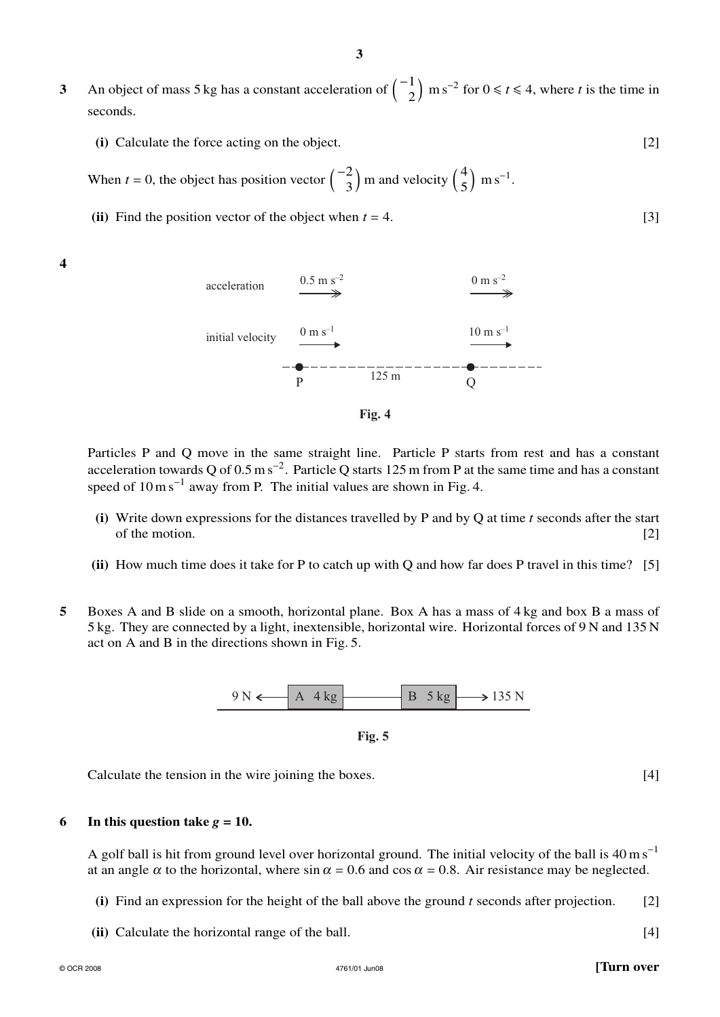- **3** An object of mass 5 kg has a constant acceleration of  $\begin{pmatrix} -1 \\ 2 \end{pmatrix}$  m s<sup>-2</sup> for  $0 \le t \le 4$ , where *t* is the time in seconds.
	- **(i)** Calculate the force acting on the object. [2]

When *t* = 0, the object has position vector  $\begin{pmatrix} -2 \\ 3 \end{pmatrix}$  m and velocity  $\begin{pmatrix} 4 \\ 5 \end{pmatrix}$  m s<sup>-1</sup>.

**(ii)** Find the position vector of the object when  $t = 4$ . [3]

**4**



**Fig. 4**

Particles P and Q move in the same straight line. Particle P starts from rest and has a constant acceleration towards Q of 0.5 m s<sup>-2</sup>. Particle Q starts 125 m from P at the same time and has a constant speed of  $10 \text{ m s}^{-1}$  away from P. The initial values are shown in Fig. 4.

- **(i)** Write down expressions for the distances travelled by P and by Q at time *t* seconds after the start of the motion.  $[2]$
- **(ii)** How much time does it take for P to catch up with Q and how far does P travel in this time? [5]
- **5** Boxes A and B slide on a smooth, horizontal plane. Box A has a mass of 4 kg and box B a mass of 5 kg. They are connected by a light, inextensible, horizontal wire. Horizontal forces of 9 N and 135 N act on A and B in the directions shown in Fig. 5.



**Fig. 5**

Calculate the tension in the wire joining the boxes. [4]

## 6 In this question take  $g = 10$ .

A golf ball is hit from ground level over horizontal ground. The initial velocity of the ball is  $40 \text{ m s}^{-1}$ at an angle  $\alpha$  to the horizontal, where sin  $\alpha = 0.6$  and cos  $\alpha = 0.8$ . Air resistance may be neglected.

- **(i)** Find an expression for the height of the ball above the ground *t* seconds after projection. [2]
- **(ii)** Calculate the horizontal range of the ball. [4]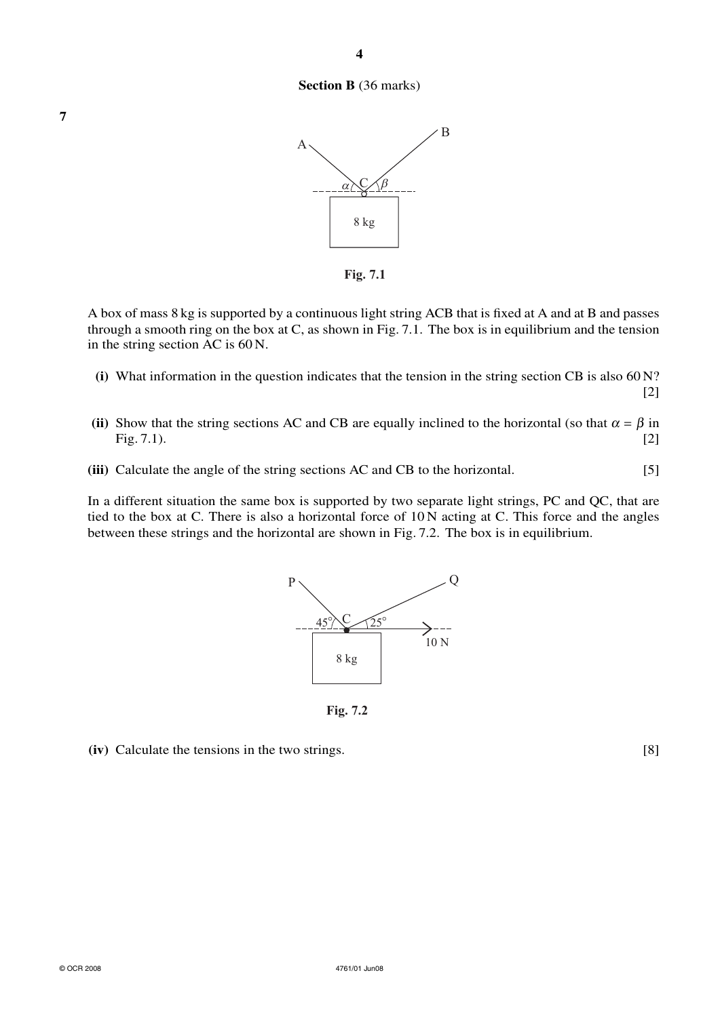#### **4**

## **Section B** (36 marks)



**Fig. 7.1**

A box of mass 8 kg is supported by a continuous light string ACB that is fixed at A and at B and passes through a smooth ring on the box at C, as shown in Fig. 7.1. The box is in equilibrium and the tension in the string section AC is 60 N.

- **(i)** What information in the question indicates that the tension in the string section CB is also 60 N?
- (ii) Show that the string sections AC and CB are equally inclined to the horizontal (so that  $\alpha = \beta$  in Fig. 7.1). Fig. 7.1).  $[2]$
- **(iii)** Calculate the angle of the string sections AC and CB to the horizontal. [5]

In a different situation the same box is supported by two separate light strings, PC and QC, that are tied to the box at C. There is also a horizontal force of 10 N acting at C. This force and the angles between these strings and the horizontal are shown in Fig. 7.2. The box is in equilibrium.



**Fig. 7.2**

**(iv)** Calculate the tensions in the two strings. [8]

[2]

**7**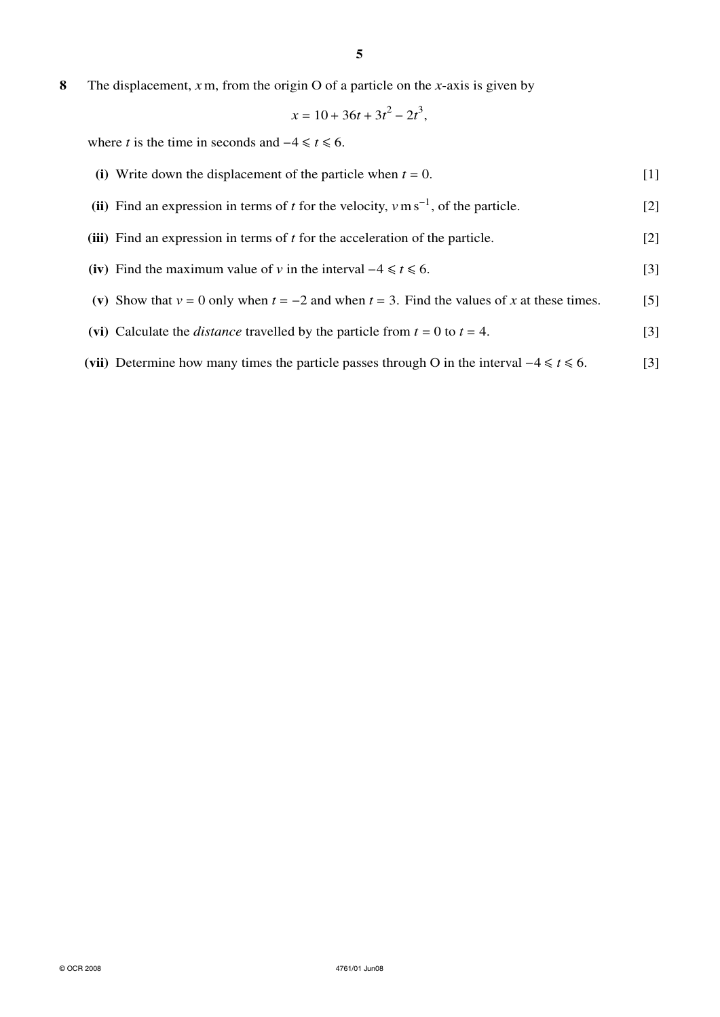**8** The displacement, *x* m, from the origin O of a particle on the *x*-axis is given by

$$
x = 10 + 36t + 3t^2 - 2t^3,
$$

where *t* is the time in seconds and  $-4 \le t \le 6$ .

| (i) Write down the displacement of the particle when $t = 0$ .                                   | $[1]$             |
|--------------------------------------------------------------------------------------------------|-------------------|
| (ii) Find an expression in terms of t for the velocity, $v \text{ m s}^{-1}$ , of the particle.  | $[2]$             |
| (iii) Find an expression in terms of t for the acceleration of the particle.                     | $[2]$             |
| (iv) Find the maximum value of v in the interval $-4 \le t \le 6$ .                              | $[3]$             |
| (v) Show that $v = 0$ only when $t = -2$ and when $t = 3$ . Find the values of x at these times. | $\lceil 5 \rceil$ |
| (vi) Calculate the <i>distance</i> travelled by the particle from $t = 0$ to $t = 4$ .           | $[3]$             |
| (vii) Determine how many times the particle passes through O in the interval $-4 \le t \le 6$ .  | [3]               |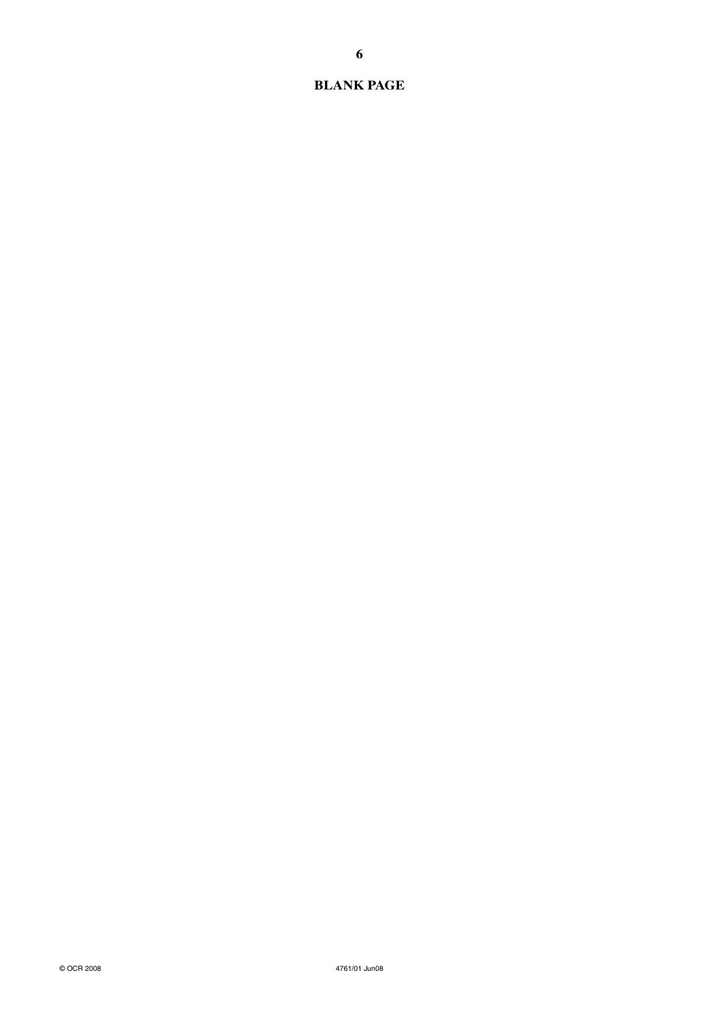## **BLANK PAGE**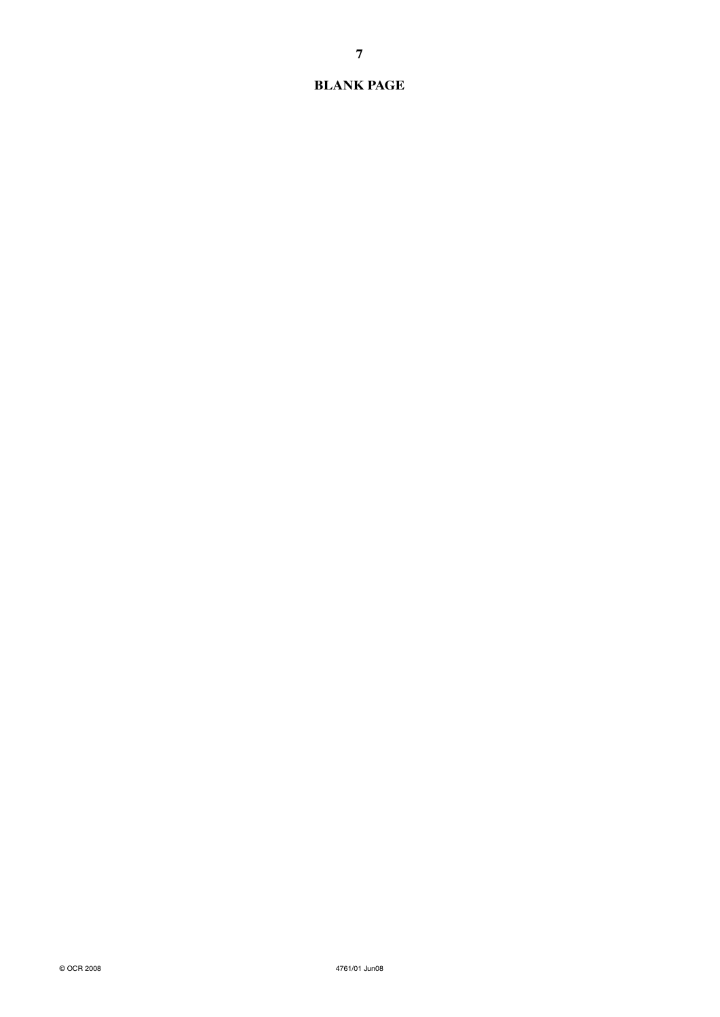# **BLANK PAGE**